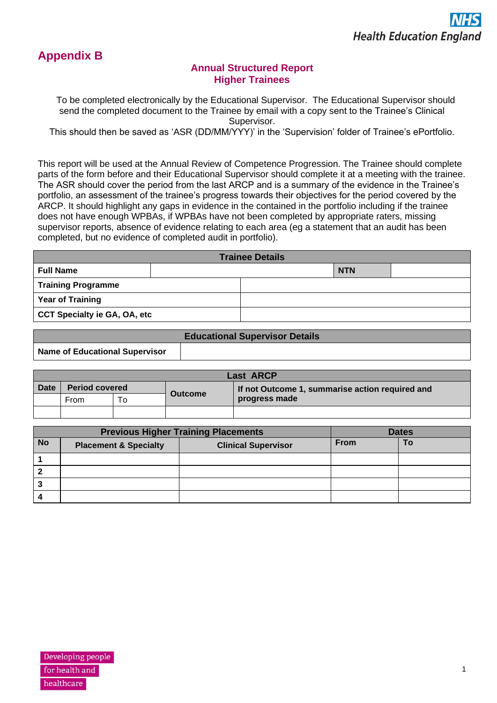

# **Annual Structured Report Higher Trainees**

To be completed electronically by the Educational Supervisor. The Educational Supervisor should send the completed document to the Trainee by email with a copy sent to the Trainee's Clinical Supervisor.

This should then be saved as 'ASR (DD/MM/YYY)' in the 'Supervision' folder of Trainee's ePortfolio.

This report will be used at the Annual Review of Competence Progression. The Trainee should complete parts of the form before and their Educational Supervisor should complete it at a meeting with the trainee. The ASR should cover the period from the last ARCP and is a summary of the evidence in the Trainee's portfolio, an assessment of the trainee's progress towards their objectives for the period covered by the ARCP. It should highlight any gaps in evidence in the contained in the portfolio including if the trainee does not have enough WPBAs, if WPBAs have not been completed by appropriate raters, missing supervisor reports, absence of evidence relating to each area (eg a statement that an audit has been completed, but no evidence of completed audit in portfolio).

| <b>Trainee Details</b>              |  |  |            |  |
|-------------------------------------|--|--|------------|--|
| <b>Full Name</b>                    |  |  | <b>NTN</b> |  |
| <b>Training Programme</b>           |  |  |            |  |
| <b>Year of Training</b>             |  |  |            |  |
| <b>CCT Specialty ie GA, OA, etc</b> |  |  |            |  |

|                                | <b>Educational Supervisor Details</b> |
|--------------------------------|---------------------------------------|
| Name of Educational Supervisor |                                       |

| <b>Last ARCP</b> |                       |     |                |                                                 |
|------------------|-----------------------|-----|----------------|-------------------------------------------------|
| <b>Date</b>      | <b>Period covered</b> |     | <b>Outcome</b> | If not Outcome 1, summarise action required and |
|                  | From                  | . 0 |                | progress made                                   |
|                  |                       |     |                |                                                 |

|           | <b>Previous Higher Training Placements</b> |                            |             | <b>Dates</b> |  |
|-----------|--------------------------------------------|----------------------------|-------------|--------------|--|
| <b>No</b> | <b>Placement &amp; Specialty</b>           | <b>Clinical Supervisor</b> | <b>From</b> |              |  |
|           |                                            |                            |             |              |  |
|           |                                            |                            |             |              |  |
|           |                                            |                            |             |              |  |
|           |                                            |                            |             |              |  |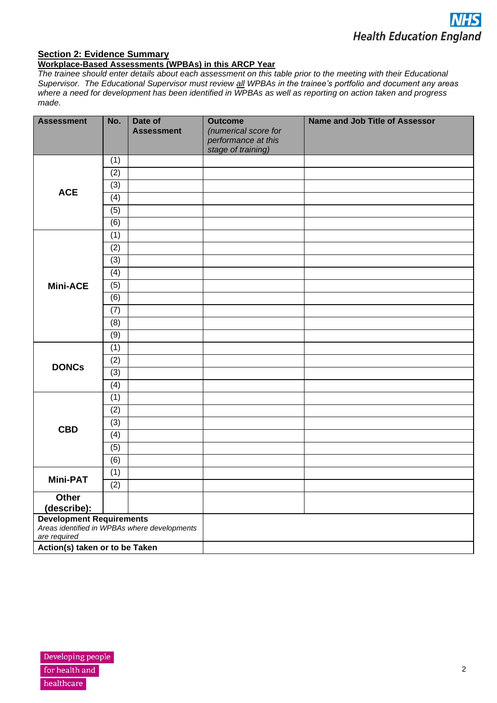

#### **Section 2: Evidence Summary**

## **Workplace-Based Assessments (WPBAs) in this ARCP Year**

*The trainee should enter details about each assessment on this table prior to the meeting with their Educational Supervisor. The Educational Supervisor must review all WPBAs in the trainee's portfolio and document any areas where a need for development has been identified in WPBAs as well as reporting on action taken and progress made.*

| <b>Assessment</b>                                            | No. | Date of<br><b>Assessment</b> | <b>Outcome</b><br>(numerical score for | <b>Name and Job Title of Assessor</b> |
|--------------------------------------------------------------|-----|------------------------------|----------------------------------------|---------------------------------------|
|                                                              |     |                              | performance at this                    |                                       |
|                                                              |     |                              | stage of training)                     |                                       |
|                                                              | (1) |                              |                                        |                                       |
|                                                              | (2) |                              |                                        |                                       |
| <b>ACE</b>                                                   | (3) |                              |                                        |                                       |
|                                                              | (4) |                              |                                        |                                       |
|                                                              | (5) |                              |                                        |                                       |
|                                                              | (6) |                              |                                        |                                       |
|                                                              | (1) |                              |                                        |                                       |
|                                                              | (2) |                              |                                        |                                       |
|                                                              | (3) |                              |                                        |                                       |
|                                                              | (4) |                              |                                        |                                       |
| <b>Mini-ACE</b>                                              | (5) |                              |                                        |                                       |
|                                                              | (6) |                              |                                        |                                       |
|                                                              | (7) |                              |                                        |                                       |
|                                                              | (8) |                              |                                        |                                       |
|                                                              | (9) |                              |                                        |                                       |
|                                                              | (1) |                              |                                        |                                       |
|                                                              | (2) |                              |                                        |                                       |
| <b>DONCs</b>                                                 | (3) |                              |                                        |                                       |
|                                                              | (4) |                              |                                        |                                       |
|                                                              | (1) |                              |                                        |                                       |
|                                                              | (2) |                              |                                        |                                       |
|                                                              | (3) |                              |                                        |                                       |
| <b>CBD</b>                                                   | (4) |                              |                                        |                                       |
|                                                              | (5) |                              |                                        |                                       |
|                                                              | (6) |                              |                                        |                                       |
|                                                              | (1) |                              |                                        |                                       |
| <b>Mini-PAT</b>                                              | (2) |                              |                                        |                                       |
| Other                                                        |     |                              |                                        |                                       |
| (describe):                                                  |     |                              |                                        |                                       |
| <b>Development Requirements</b>                              |     |                              |                                        |                                       |
| Areas identified in WPBAs where developments<br>are required |     |                              |                                        |                                       |
| Action(s) taken or to be Taken                               |     |                              |                                        |                                       |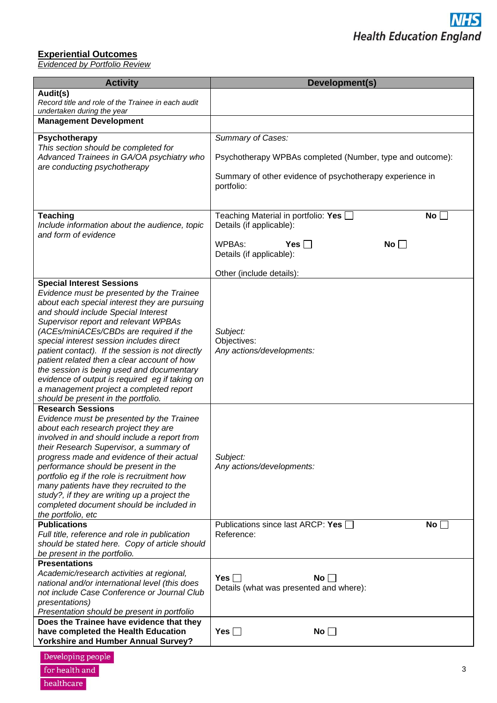## **Experiential Outcomes**

*Evidenced by Portfolio Review*

| <b>Activity</b>                                                                                                                                                                                                                                                                                                                                                                                                                                                                                                                                                                          | Development(s)                                                                   |
|------------------------------------------------------------------------------------------------------------------------------------------------------------------------------------------------------------------------------------------------------------------------------------------------------------------------------------------------------------------------------------------------------------------------------------------------------------------------------------------------------------------------------------------------------------------------------------------|----------------------------------------------------------------------------------|
| Audit(s)<br>Record title and role of the Trainee in each audit<br>undertaken during the year                                                                                                                                                                                                                                                                                                                                                                                                                                                                                             |                                                                                  |
| <b>Management Development</b>                                                                                                                                                                                                                                                                                                                                                                                                                                                                                                                                                            |                                                                                  |
| Psychotherapy<br>This section should be completed for                                                                                                                                                                                                                                                                                                                                                                                                                                                                                                                                    | Summary of Cases:                                                                |
| Advanced Trainees in GA/OA psychiatry who<br>are conducting psychotherapy                                                                                                                                                                                                                                                                                                                                                                                                                                                                                                                | Psychotherapy WPBAs completed (Number, type and outcome):                        |
|                                                                                                                                                                                                                                                                                                                                                                                                                                                                                                                                                                                          | Summary of other evidence of psychotherapy experience in<br>portfolio:           |
| <b>Teaching</b><br>Include information about the audience, topic<br>and form of evidence                                                                                                                                                                                                                                                                                                                                                                                                                                                                                                 | Teaching Material in portfolio: Yes<br><b>No</b><br>Details (if applicable):     |
|                                                                                                                                                                                                                                                                                                                                                                                                                                                                                                                                                                                          | WPBAs:<br>Yes $\Box$<br>No<br>Details (if applicable):                           |
|                                                                                                                                                                                                                                                                                                                                                                                                                                                                                                                                                                                          | Other (include details):                                                         |
| <b>Special Interest Sessions</b><br>Evidence must be presented by the Trainee<br>about each special interest they are pursuing<br>and should include Special Interest<br>Supervisor report and relevant WPBAs<br>(ACEs/miniACEs/CBDs are required if the<br>special interest session includes direct<br>patient contact). If the session is not directly<br>patient related then a clear account of how<br>the session is being used and documentary<br>evidence of output is required eg if taking on<br>a management project a completed report<br>should be present in the portfolio. | Subject:<br>Objectives:<br>Any actions/developments:                             |
| <b>Research Sessions</b><br>Evidence must be presented by the Trainee<br>about each research project they are<br>involved in and should include a report from<br>their Research Supervisor, a summary of<br>progress made and evidence of their actual<br>performance should be present in the<br>portfolio eg if the role is recruitment how<br>many patients have they recruited to the<br>study?, if they are writing up a project the<br>completed document should be included in<br>the portfolio, etc<br><b>Publications</b>                                                       | Subject:<br>Any actions/developments:<br>Publications since last ARCP: Yes<br>No |
| Full title, reference and role in publication<br>should be stated here. Copy of article should<br>be present in the portfolio.                                                                                                                                                                                                                                                                                                                                                                                                                                                           | Reference:                                                                       |
| <b>Presentations</b><br>Academic/research activities at regional,<br>national and/or international level (this does<br>not include Case Conference or Journal Club<br>presentations)<br>Presentation should be present in portfolio                                                                                                                                                                                                                                                                                                                                                      | Yes $\Box$<br>No<br>Details (what was presented and where):                      |
| Does the Trainee have evidence that they<br>have completed the Health Education<br><b>Yorkshire and Humber Annual Survey?</b>                                                                                                                                                                                                                                                                                                                                                                                                                                                            | Yes $\Box$<br>No $\Box$                                                          |
| Developing people<br>for health and                                                                                                                                                                                                                                                                                                                                                                                                                                                                                                                                                      | 3                                                                                |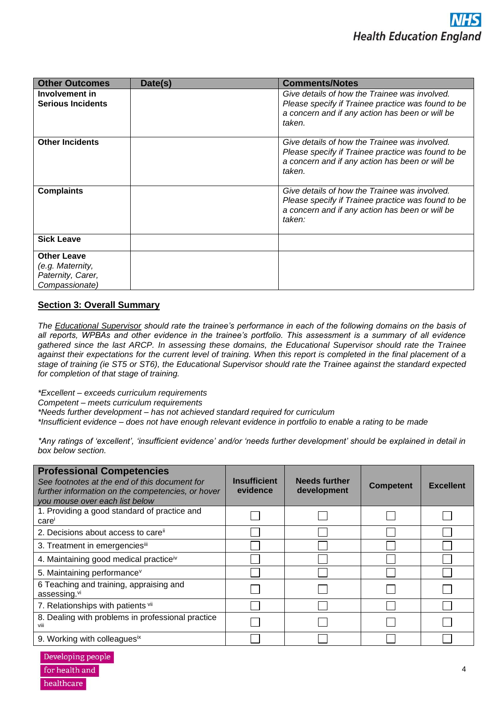| <b>Other Outcomes</b>                                                         | Date(s) | <b>Comments/Notes</b>                                                                                                                                            |
|-------------------------------------------------------------------------------|---------|------------------------------------------------------------------------------------------------------------------------------------------------------------------|
| Involvement in<br><b>Serious Incidents</b>                                    |         | Give details of how the Trainee was involved.<br>Please specify if Trainee practice was found to be<br>a concern and if any action has been or will be<br>taken. |
| <b>Other Incidents</b>                                                        |         | Give details of how the Trainee was involved.<br>Please specify if Trainee practice was found to be<br>a concern and if any action has been or will be<br>taken. |
| <b>Complaints</b>                                                             |         | Give details of how the Trainee was involved.<br>Please specify if Trainee practice was found to be<br>a concern and if any action has been or will be<br>taken: |
| <b>Sick Leave</b>                                                             |         |                                                                                                                                                                  |
| <b>Other Leave</b><br>(e.g. Maternity,<br>Paternity, Carer,<br>Compassionate) |         |                                                                                                                                                                  |

## **Section 3: Overall Summary**

*The Educational Supervisor should rate the trainee's performance in each of the following domains on the basis of all reports, WPBAs and other evidence in the trainee's portfolio. This assessment is a summary of all evidence gathered since the last ARCP. In assessing these domains, the Educational Supervisor should rate the Trainee against their expectations for the current level of training. When this report is completed in the final placement of a stage of training (ie ST5 or ST6), the Educational Supervisor should rate the Trainee against the standard expected for completion of that stage of training.*

*\*Excellent – exceeds curriculum requirements*

*Competent – meets curriculum requirements* 

*\*Needs further development – has not achieved standard required for curriculum*

*\*Insufficient evidence – does not have enough relevant evidence in portfolio to enable a rating to be made*

*\*Any ratings of 'excellent', 'insufficient evidence' and/or 'needs further development' should be explained in detail in box below section.*

| <b>Professional Competencies</b><br>See footnotes at the end of this document for<br>further information on the competencies, or hover<br>you mouse over each list below | <b>Insufficient</b><br>evidence | <b>Needs further</b><br>development | <b>Competent</b> | <b>Excellent</b> |
|--------------------------------------------------------------------------------------------------------------------------------------------------------------------------|---------------------------------|-------------------------------------|------------------|------------------|
| 1. Providing a good standard of practice and<br>care                                                                                                                     |                                 |                                     |                  |                  |
| 2. Decisions about access to care <sup>ii</sup>                                                                                                                          |                                 |                                     |                  |                  |
| 3. Treatment in emergenciesiii                                                                                                                                           |                                 |                                     |                  |                  |
| 4. Maintaining good medical practice <sup>iv</sup>                                                                                                                       |                                 |                                     |                  |                  |
| 5. Maintaining performance <sup>v</sup>                                                                                                                                  |                                 |                                     |                  |                  |
| 6 Teaching and training, appraising and<br>assessing.vi                                                                                                                  |                                 |                                     |                  |                  |
| 7. Relationships with patients vii                                                                                                                                       |                                 |                                     |                  |                  |
| 8. Dealing with problems in professional practice<br>viii                                                                                                                |                                 |                                     |                  |                  |
| 9. Working with colleaguesix                                                                                                                                             |                                 |                                     |                  |                  |

Developing people for health and healthcare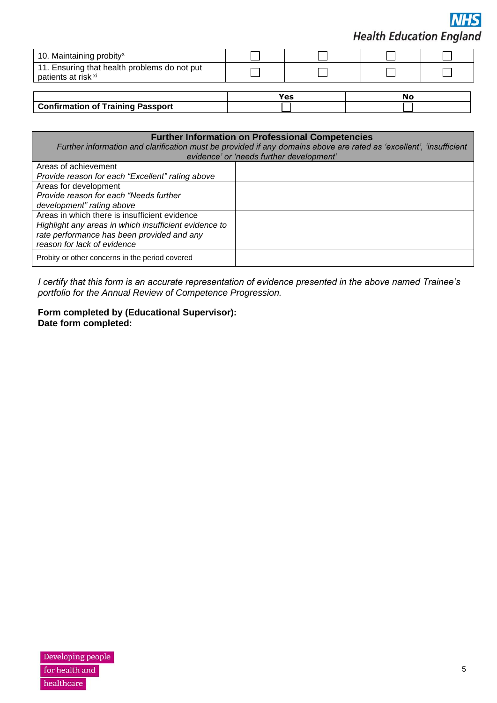**Health Education England** 

| 10. Maintaining probity <sup>x</sup>                                |     |    |  |
|---------------------------------------------------------------------|-----|----|--|
| 11. Ensuring that health problems do not put<br>patients at risk xi |     |    |  |
|                                                                     |     |    |  |
|                                                                     | Yes | No |  |

|                                   | . |  |
|-----------------------------------|---|--|
| Confirmation of Training Passport |   |  |
|                                   |   |  |

#### **Further Information on Professional Competencies** *Further information and clarification must be provided if any domains above are rated as 'excellent', 'insufficient evidence' or 'needs further development'* Areas of achievement *Provide reason for each "Excellent" rating above* Areas for development *Provide reason for each "Needs further development" rating above*

| Areas in which there is insufficient evidence         |  |
|-------------------------------------------------------|--|
| Highlight any areas in which insufficient evidence to |  |
| rate performance has been provided and any            |  |
| reason for lack of evidence                           |  |
| Probity or other concerns in the period covered       |  |

*I certify that this form is an accurate representation of evidence presented in the above named Trainee's portfolio for the Annual Review of Competence Progression.*

**Form completed by (Educational Supervisor): Date form completed:**